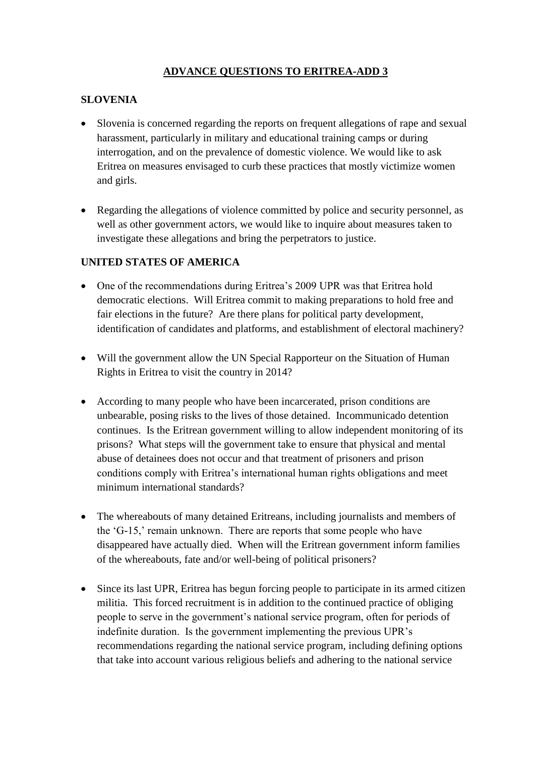## **ADVANCE QUESTIONS TO ERITREA-ADD 3**

## **SLOVENIA**

- Slovenia is concerned regarding the reports on frequent allegations of rape and sexual harassment, particularly in military and educational training camps or during interrogation, and on the prevalence of domestic violence. We would like to ask Eritrea on measures envisaged to curb these practices that mostly victimize women and girls.
- Regarding the allegations of violence committed by police and security personnel, as well as other government actors, we would like to inquire about measures taken to investigate these allegations and bring the perpetrators to justice.

## **UNITED STATES OF AMERICA**

- One of the recommendations during Eritrea's 2009 UPR was that Eritrea hold democratic elections. Will Eritrea commit to making preparations to hold free and fair elections in the future? Are there plans for political party development, identification of candidates and platforms, and establishment of electoral machinery?
- Will the government allow the UN Special Rapporteur on the Situation of Human Rights in Eritrea to visit the country in 2014?
- According to many people who have been incarcerated, prison conditions are unbearable, posing risks to the lives of those detained. Incommunicado detention continues. Is the Eritrean government willing to allow independent monitoring of its prisons? What steps will the government take to ensure that physical and mental abuse of detainees does not occur and that treatment of prisoners and prison conditions comply with Eritrea's international human rights obligations and meet minimum international standards?
- The whereabouts of many detained Eritreans, including journalists and members of the 'G-15,' remain unknown. There are reports that some people who have disappeared have actually died. When will the Eritrean government inform families of the whereabouts, fate and/or well-being of political prisoners?
- Since its last UPR, Eritrea has begun forcing people to participate in its armed citizen militia. This forced recruitment is in addition to the continued practice of obliging people to serve in the government's national service program, often for periods of indefinite duration. Is the government implementing the previous UPR's recommendations regarding the national service program, including defining options that take into account various religious beliefs and adhering to the national service